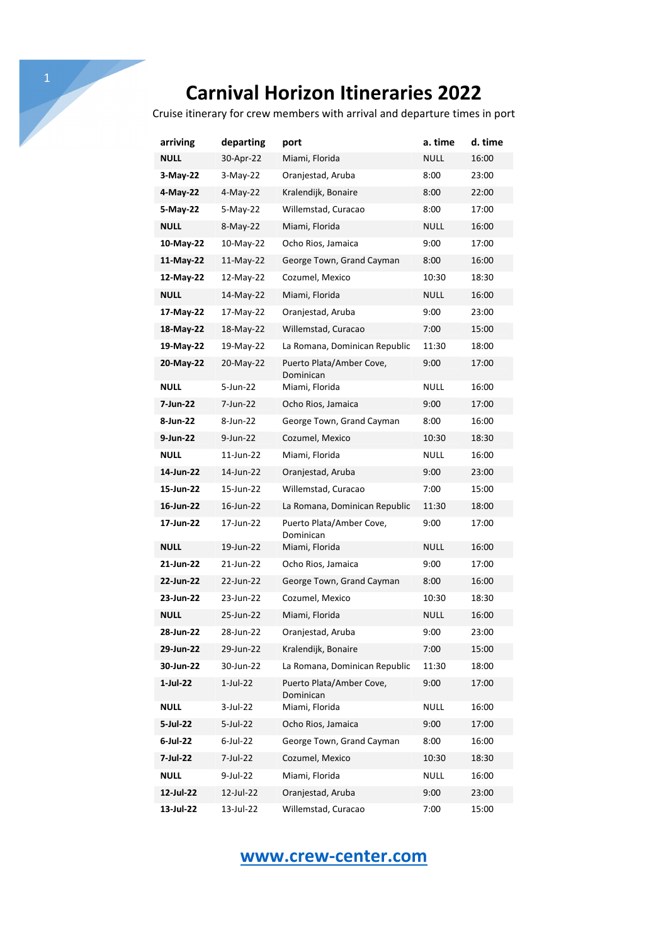Cruise itinerary for crew members with arrival and departure times in port

| arriving    | departing   | port                                  | a. time     | d. time |
|-------------|-------------|---------------------------------------|-------------|---------|
| <b>NULL</b> | 30-Apr-22   | Miami, Florida                        | <b>NULL</b> | 16:00   |
| 3-May-22    | $3-May-22$  | Oranjestad, Aruba                     | 8:00        | 23:00   |
| 4-May-22    | 4-May-22    | Kralendijk, Bonaire                   | 8:00        | 22:00   |
| 5-May-22    | 5-May-22    | Willemstad, Curacao                   | 8:00        | 17:00   |
| <b>NULL</b> | 8-May-22    | Miami, Florida                        | NULL        | 16:00   |
| 10-May-22   | 10-May-22   | Ocho Rios, Jamaica                    | 9:00        | 17:00   |
| 11-May-22   | $11-May-22$ | George Town, Grand Cayman             | 8:00        | 16:00   |
| 12-May-22   | 12-May-22   | Cozumel, Mexico                       | 10:30       | 18:30   |
| <b>NULL</b> | 14-May-22   | Miami, Florida                        | NULL        | 16:00   |
| 17-May-22   | 17-May-22   | Oranjestad, Aruba                     | 9:00        | 23:00   |
| 18-May-22   | 18-May-22   | Willemstad, Curacao                   | 7:00        | 15:00   |
| 19-May-22   | 19-May-22   | La Romana, Dominican Republic         | 11:30       | 18:00   |
| 20-May-22   | 20-May-22   | Puerto Plata/Amber Cove,<br>Dominican | 9:00        | 17:00   |
| <b>NULL</b> | 5-Jun-22    | Miami, Florida                        | NULL        | 16:00   |
| 7-Jun-22    | 7-Jun-22    | Ocho Rios, Jamaica                    | 9:00        | 17:00   |
| 8-Jun-22    | 8-Jun-22    | George Town, Grand Cayman             | 8:00        | 16:00   |
| 9-Jun-22    | 9-Jun-22    | Cozumel, Mexico                       | 10:30       | 18:30   |
| <b>NULL</b> | 11-Jun-22   | Miami, Florida                        | NULL        | 16:00   |
| 14-Jun-22   | 14-Jun-22   | Oranjestad, Aruba                     | 9:00        | 23:00   |
| 15-Jun-22   | 15-Jun-22   | Willemstad, Curacao                   | 7:00        | 15:00   |
| 16-Jun-22   | 16-Jun-22   | La Romana, Dominican Republic         | 11:30       | 18:00   |
| 17-Jun-22   | 17-Jun-22   | Puerto Plata/Amber Cove,<br>Dominican | 9:00        | 17:00   |
| <b>NULL</b> | 19-Jun-22   | Miami, Florida                        | NULL        | 16:00   |
| 21-Jun-22   | 21-Jun-22   | Ocho Rios, Jamaica                    | 9:00        | 17:00   |
| 22-Jun-22   | 22-Jun-22   | George Town, Grand Cayman             | 8:00        | 16:00   |
| 23-Jun-22   | 23-Jun-22   | Cozumel, Mexico                       | 10:30       | 18:30   |
| <b>NULL</b> | 25-Jun-22   | Miami, Florida                        | <b>NULL</b> | 16:00   |
| 28-Jun-22   | 28-Jun-22   | Oranjestad, Aruba                     | 9:00        | 23:00   |
| 29-Jun-22   | 29-Jun-22   | Kralendijk, Bonaire                   | 7:00        | 15:00   |
| 30-Jun-22   | 30-Jun-22   | La Romana, Dominican Republic         | 11:30       | 18:00   |
| 1-Jul-22    | $1$ -Jul-22 | Puerto Plata/Amber Cove,<br>Dominican | 9:00        | 17:00   |
| <b>NULL</b> | 3-Jul-22    | Miami, Florida                        | <b>NULL</b> | 16:00   |
| 5-Jul-22    | 5-Jul-22    | Ocho Rios, Jamaica                    | 9:00        | 17:00   |
| 6-Jul-22    | $6$ -Jul-22 | George Town, Grand Cayman             | 8:00        | 16:00   |
| 7-Jul-22    | 7-Jul-22    | Cozumel, Mexico                       | 10:30       | 18:30   |
| <b>NULL</b> | 9-Jul-22    | Miami, Florida                        | <b>NULL</b> | 16:00   |
| 12-Jul-22   | 12-Jul-22   | Oranjestad, Aruba                     | 9:00        | 23:00   |
| 13-Jul-22   | 13-Jul-22   | Willemstad, Curacao                   | 7:00        | 15:00   |

#### **www.crew-center.com**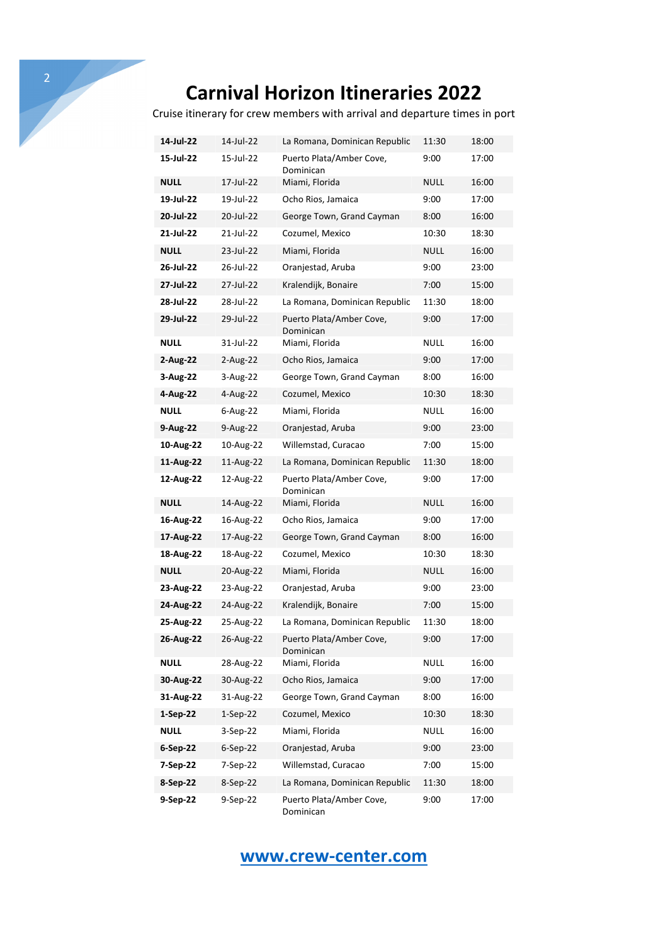Cruise itinerary for crew members with arrival and departure times in port

| 14-Jul-22   | 14-Jul-22   | La Romana, Dominican Republic         | 11:30       | 18:00 |
|-------------|-------------|---------------------------------------|-------------|-------|
| 15-Jul-22   | 15-Jul-22   | Puerto Plata/Amber Cove,<br>Dominican | 9:00        | 17:00 |
| NULL        | 17-Jul-22   | Miami, Florida                        | NULL        | 16:00 |
| 19-Jul-22   | 19-Jul-22   | Ocho Rios, Jamaica                    | 9:00        | 17:00 |
| 20-Jul-22   | 20-Jul-22   | George Town, Grand Cayman             | 8:00        | 16:00 |
| 21-Jul-22   | 21-Jul-22   | Cozumel, Mexico                       | 10:30       | 18:30 |
| NULL        | 23-Jul-22   | Miami, Florida                        | NULL        | 16:00 |
| 26-Jul-22   | 26-Jul-22   | Oranjestad, Aruba                     | 9:00        | 23:00 |
| 27-Jul-22   | 27-Jul-22   | Kralendijk, Bonaire                   | 7:00        | 15:00 |
| 28-Jul-22   | 28-Jul-22   | La Romana, Dominican Republic         | 11:30       | 18:00 |
| 29-Jul-22   | 29-Jul-22   | Puerto Plata/Amber Cove,<br>Dominican | 9:00        | 17:00 |
| NULL        | 31-Jul-22   | Miami, Florida                        | NULL        | 16:00 |
| 2-Aug-22    | 2-Aug-22    | Ocho Rios, Jamaica                    | 9:00        | 17:00 |
| 3-Aug-22    | 3-Aug-22    | George Town, Grand Cayman             | 8:00        | 16:00 |
| 4-Aug-22    | 4-Aug-22    | Cozumel, Mexico                       | 10:30       | 18:30 |
| NULL        | $6$ -Aug-22 | Miami, Florida                        | NULL        | 16:00 |
| 9-Aug-22    | 9-Aug-22    | Oranjestad, Aruba                     | 9:00        | 23:00 |
| 10-Aug-22   | 10-Aug-22   | Willemstad, Curacao                   | 7:00        | 15:00 |
| 11-Aug-22   | 11-Aug-22   | La Romana, Dominican Republic         | 11:30       | 18:00 |
| 12-Aug-22   | 12-Aug-22   | Puerto Plata/Amber Cove,<br>Dominican | 9:00        | 17:00 |
| NULL        | 14-Aug-22   | Miami, Florida                        | NULL        | 16:00 |
| 16-Aug-22   | 16-Aug-22   | Ocho Rios, Jamaica                    | 9:00        | 17:00 |
| 17-Aug-22   | 17-Aug-22   | George Town, Grand Cayman             | 8:00        | 16:00 |
| 18-Aug-22   | 18-Aug-22   | Cozumel, Mexico                       | 10:30       | 18:30 |
| <b>NULL</b> | 20-Aug-22   | Miami, Florida                        | NULL        | 16:00 |
| 23-Aug-22   | 23-Aug-22   | Oranjestad, Aruba                     | 9:00        | 23:00 |
| 24-Aug-22   | 24-Aug-22   | Kralendijk, Bonaire                   | 7:00        | 15:00 |
| 25-Aug-22   | 25-Aug-22   | La Romana, Dominican Republic         | 11:30       | 18:00 |
| 26-Aug-22   | 26-Aug-22   | Puerto Plata/Amber Cove,<br>Dominican | 9:00        | 17:00 |
| <b>NULL</b> | 28-Aug-22   | Miami, Florida                        | <b>NULL</b> | 16:00 |
| 30-Aug-22   | 30-Aug-22   | Ocho Rios, Jamaica                    | 9:00        | 17:00 |
| 31-Aug-22   | 31-Aug-22   | George Town, Grand Cayman             | 8:00        | 16:00 |
| $1-Sep-22$  | $1-Sep-22$  | Cozumel, Mexico                       | 10:30       | 18:30 |
| <b>NULL</b> | 3-Sep-22    | Miami, Florida                        | <b>NULL</b> | 16:00 |
| $6-Sep-22$  | $6-Sep-22$  | Oranjestad, Aruba                     | 9:00        | 23:00 |
| 7-Sep-22    | 7-Sep-22    | Willemstad, Curacao                   | 7:00        | 15:00 |
| 8-Sep-22    | 8-Sep-22    | La Romana, Dominican Republic         | 11:30       | 18:00 |
| 9-Sep-22    | 9-Sep-22    | Puerto Plata/Amber Cove,<br>Dominican | 9:00        | 17:00 |

#### **www.crew-center.com**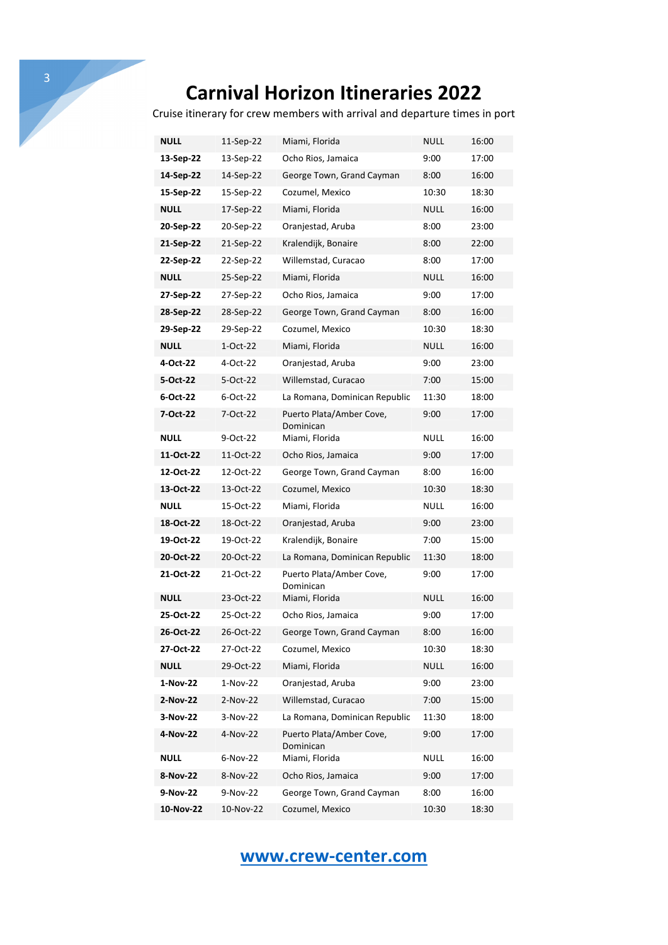Cruise itinerary for crew members with arrival and departure times in port

| NULL        | 11-Sep-22 | Miami, Florida                        | NULL        | 16:00 |
|-------------|-----------|---------------------------------------|-------------|-------|
| 13-Sep-22   | 13-Sep-22 | Ocho Rios, Jamaica                    | 9:00        | 17:00 |
| 14-Sep-22   | 14-Sep-22 | George Town, Grand Cayman             | 8:00        | 16:00 |
| 15-Sep-22   | 15-Sep-22 | Cozumel, Mexico                       | 10:30       | 18:30 |
| <b>NULL</b> | 17-Sep-22 | Miami, Florida                        | NULL        | 16:00 |
| 20-Sep-22   | 20-Sep-22 | Oranjestad, Aruba                     | 8:00        | 23:00 |
| 21-Sep-22   | 21-Sep-22 | Kralendijk, Bonaire                   | 8:00        | 22:00 |
| 22-Sep-22   | 22-Sep-22 | Willemstad, Curacao                   | 8:00        | 17:00 |
| <b>NULL</b> | 25-Sep-22 | Miami, Florida                        | NULL        | 16:00 |
| 27-Sep-22   | 27-Sep-22 | Ocho Rios, Jamaica                    | 9:00        | 17:00 |
| 28-Sep-22   | 28-Sep-22 | George Town, Grand Cayman             | 8:00        | 16:00 |
| 29-Sep-22   | 29-Sep-22 | Cozumel, Mexico                       | 10:30       | 18:30 |
| <b>NULL</b> | 1-Oct-22  | Miami, Florida                        | NULL        | 16:00 |
| 4-Oct-22    | 4-Oct-22  | Oranjestad, Aruba                     | 9:00        | 23:00 |
| 5-Oct-22    | 5-Oct-22  | Willemstad, Curacao                   | 7:00        | 15:00 |
| 6-Oct-22    | 6-Oct-22  | La Romana, Dominican Republic         | 11:30       | 18:00 |
| 7-Oct-22    | 7-Oct-22  | Puerto Plata/Amber Cove,<br>Dominican | 9:00        | 17:00 |
| <b>NULL</b> | 9-Oct-22  | Miami, Florida                        | NULL        | 16:00 |
| 11-Oct-22   | 11-Oct-22 | Ocho Rios, Jamaica                    | 9:00        | 17:00 |
| 12-Oct-22   | 12-Oct-22 | George Town, Grand Cayman             | 8:00        | 16:00 |
| 13-Oct-22   | 13-Oct-22 | Cozumel, Mexico                       | 10:30       | 18:30 |
| <b>NULL</b> | 15-Oct-22 | Miami, Florida                        | NULL        | 16:00 |
| 18-Oct-22   | 18-Oct-22 | Oranjestad, Aruba                     | 9:00        | 23:00 |
| 19-Oct-22   | 19-Oct-22 | Kralendijk, Bonaire                   | 7:00        | 15:00 |
| 20-Oct-22   | 20-Oct-22 | La Romana, Dominican Republic         | 11:30       | 18:00 |
| 21-Oct-22   | 21-Oct-22 | Puerto Plata/Amber Cove,<br>Dominican | 9:00        | 17:00 |
| <b>NULL</b> | 23-Oct-22 | Miami, Florida                        | NULL        | 16:00 |
| 25-Oct-22   | 25-Oct-22 | Ocho Rios, Jamaica                    | 9:00        | 17:00 |
| 26-Oct-22   | 26-Oct-22 | George Town, Grand Cayman             | 8:00        | 16:00 |
| 27-Oct-22   | 27-Oct-22 | Cozumel, Mexico                       | 10:30       | 18:30 |
| <b>NULL</b> | 29-Oct-22 | Miami, Florida                        | <b>NULL</b> | 16:00 |
| 1-Nov-22    | 1-Nov-22  | Oranjestad, Aruba                     | 9:00        | 23:00 |
| 2-Nov-22    | 2-Nov-22  | Willemstad, Curacao                   | 7:00        | 15:00 |
| 3-Nov-22    | 3-Nov-22  | La Romana, Dominican Republic         | 11:30       | 18:00 |
| 4-Nov-22    | 4-Nov-22  | Puerto Plata/Amber Cove,<br>Dominican | 9:00        | 17:00 |
| <b>NULL</b> | 6-Nov-22  | Miami, Florida                        | <b>NULL</b> | 16:00 |
| 8-Nov-22    | 8-Nov-22  | Ocho Rios, Jamaica                    | 9:00        | 17:00 |
| 9-Nov-22    | 9-Nov-22  | George Town, Grand Cayman             | 8:00        | 16:00 |
| 10-Nov-22   | 10-Nov-22 | Cozumel, Mexico                       | 10:30       | 18:30 |

# **www.crew-center.com**